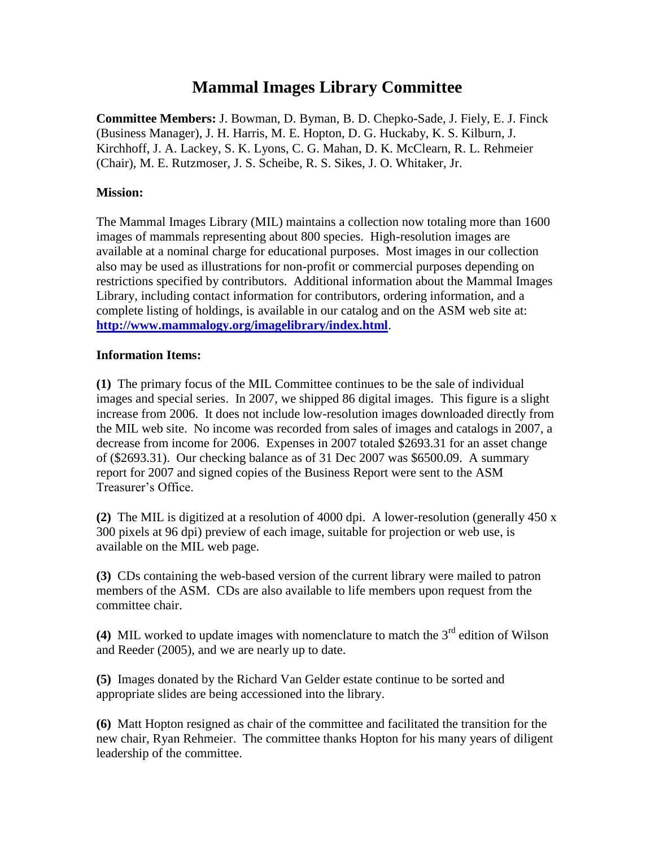## **Mammal Images Library Committee**

**Committee Members:** J. Bowman, D. Byman, B. D. Chepko-Sade, J. Fiely, E. J. Finck (Business Manager), J. H. Harris, M. E. Hopton, D. G. Huckaby, K. S. Kilburn, J. Kirchhoff, J. A. Lackey, S. K. Lyons, C. G. Mahan, D. K. McClearn, R. L. Rehmeier (Chair), M. E. Rutzmoser, J. S. Scheibe, R. S. Sikes, J. O. Whitaker, Jr.

## **Mission:**

The Mammal Images Library (MIL) maintains a collection now totaling more than 1600 images of mammals representing about 800 species. High-resolution images are available at a nominal charge for educational purposes. Most images in our collection also may be used as illustrations for non-profit or commercial purposes depending on restrictions specified by contributors. Additional information about the Mammal Images Library, including contact information for contributors, ordering information, and a complete listing of holdings, is available in our catalog and on the ASM web site at: **<http://www.mammalogy.org/imagelibrary/index.html>**.

## **Information Items:**

**(1)** The primary focus of the MIL Committee continues to be the sale of individual images and special series. In 2007, we shipped 86 digital images. This figure is a slight increase from 2006. It does not include low-resolution images downloaded directly from the MIL web site. No income was recorded from sales of images and catalogs in 2007, a decrease from income for 2006. Expenses in 2007 totaled \$2693.31 for an asset change of (\$2693.31). Our checking balance as of 31 Dec 2007 was \$6500.09. A summary report for 2007 and signed copies of the Business Report were sent to the ASM Treasurer's Office.

**(2)** The MIL is digitized at a resolution of 4000 dpi. A lower-resolution (generally 450 x 300 pixels at 96 dpi) preview of each image, suitable for projection or web use, is available on the MIL web page.

**(3)** CDs containing the web-based version of the current library were mailed to patron members of the ASM. CDs are also available to life members upon request from the committee chair.

**(4)** MIL worked to update images with nomenclature to match the  $3<sup>rd</sup>$  edition of Wilson and Reeder (2005), and we are nearly up to date.

**(5)** Images donated by the Richard Van Gelder estate continue to be sorted and appropriate slides are being accessioned into the library.

**(6)** Matt Hopton resigned as chair of the committee and facilitated the transition for the new chair, Ryan Rehmeier. The committee thanks Hopton for his many years of diligent leadership of the committee.